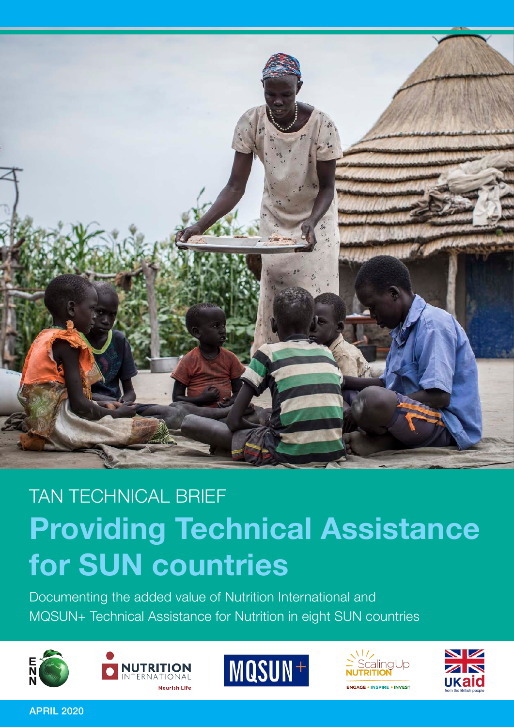

# TAN TECHNICAL BRIEF **Providing Technical Assistance for SUN countries**

Documenting the added value of Nutrition International and MQSUN+ Technical Assistance for Nutrition in eight SUN countries









APRIL 2020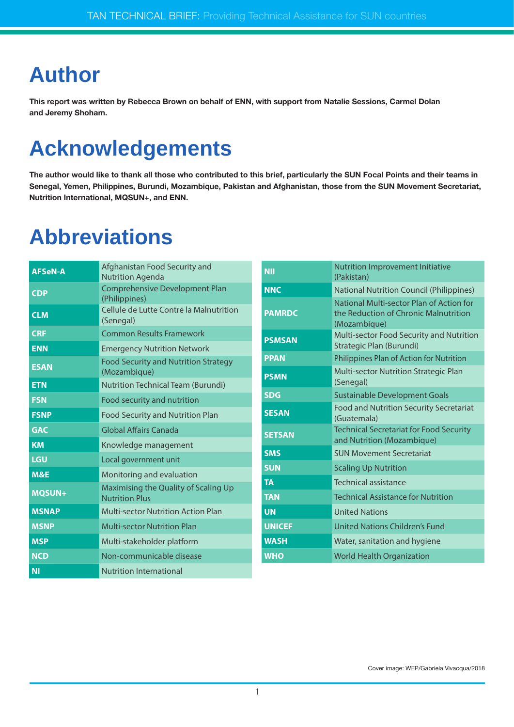## **Author**

**This report was written by Rebecca Brown on behalf of ENN, with support from Natalie Sessions, Carmel Dolan and Jeremy Shoham.**

## **Acknowledgements**

**The author would like to thank all those who contributed to this brief, particularly the SUN Focal Points and their teams in Senegal, Yemen, Philippines, Burundi, Mozambique, Pakistan and Afghanistan, those from the SUN Movement Secretariat, Nutrition International, MQSUN+, and ENN.**

## **Abbreviations**

| <b>AFSeN-A</b> | Afghanistan Food Security and<br><b>Nutrition Agenda</b>                                  | <b>NII</b>    | Nutrition Improvement Initiative<br>(Pakistan)                                                    |
|----------------|-------------------------------------------------------------------------------------------|---------------|---------------------------------------------------------------------------------------------------|
| <b>CDP</b>     | Comprehensive Development Plan                                                            | <b>NNC</b>    | <b>National Nutrition Council (Philippines)</b>                                                   |
| <b>CLM</b>     | (Philippines)<br>Cellule de Lutte Contre la Malnutrition<br>(Senegal)                     | <b>PAMRDC</b> | National Multi-sector Plan of Action for<br>the Reduction of Chronic Malnutrition<br>(Mozambique) |
| <b>CRF</b>     | <b>Common Results Framework</b>                                                           | <b>PSMSAN</b> | Multi-sector Food Security and Nutrition                                                          |
| <b>ENN</b>     | <b>Emergency Nutrition Network</b>                                                        |               | Strategic Plan (Burundi)                                                                          |
| <b>ESAN</b>    | <b>PPAN</b><br><b>Food Security and Nutrition Strategy</b><br>(Mozambique)<br><b>PSMN</b> |               | Philippines Plan of Action for Nutrition                                                          |
|                |                                                                                           |               | Multi-sector Nutrition Strategic Plan<br>(Senegal)                                                |
| <b>ETN</b>     | <b>Nutrition Technical Team (Burundi)</b>                                                 | <b>SDG</b>    | <b>Sustainable Development Goals</b>                                                              |
| <b>FSN</b>     | Food security and nutrition                                                               | <b>SESAN</b>  | Food and Nutrition Security Secretariat                                                           |
| <b>FSNP</b>    | <b>Food Security and Nutrition Plan</b>                                                   |               | (Guatemala)                                                                                       |
| <b>GAC</b>     | Global Affairs Canada                                                                     | <b>SETSAN</b> | <b>Technical Secretariat for Food Security</b><br>and Nutrition (Mozambique)                      |
| <b>KM</b>      | Knowledge management                                                                      | <b>SMS</b>    | <b>SUN Movement Secretariat</b>                                                                   |
| LGU            | Local government unit                                                                     |               |                                                                                                   |
| M&E            | Monitoring and evaluation                                                                 | <b>SUN</b>    | <b>Scaling Up Nutrition</b>                                                                       |
|                | Maximising the Quality of Scaling Up                                                      | <b>TA</b>     | Technical assistance                                                                              |
| MQSUN+         | <b>Nutrition Plus</b>                                                                     | <b>TAN</b>    | <b>Technical Assistance for Nutrition</b>                                                         |
| <b>MSNAP</b>   | <b>Multi-sector Nutrition Action Plan</b>                                                 | <b>UN</b>     | <b>United Nations</b>                                                                             |
| <b>MSNP</b>    | <b>Multi-sector Nutrition Plan</b>                                                        | <b>UNICEF</b> | <b>United Nations Children's Fund</b>                                                             |
| <b>MSP</b>     | Multi-stakeholder platform                                                                | <b>WASH</b>   | Water, sanitation and hygiene                                                                     |
| <b>NCD</b>     | Non-communicable disease                                                                  | <b>WHO</b>    | <b>World Health Organization</b>                                                                  |
| <b>NI</b>      | <b>Nutrition International</b>                                                            |               |                                                                                                   |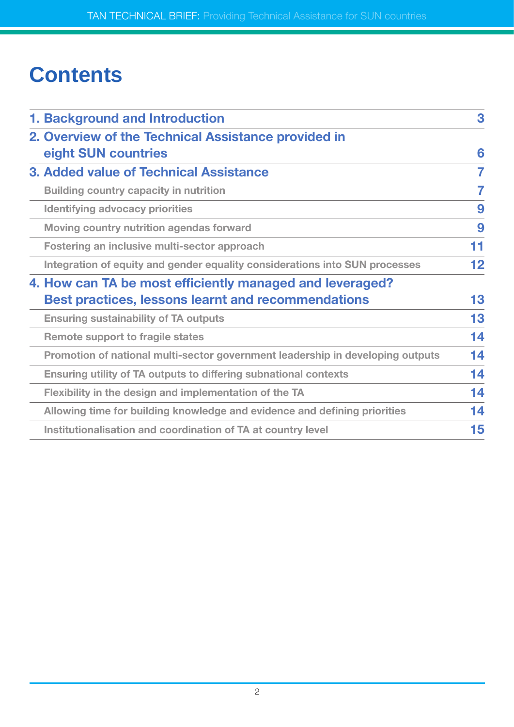## **Contents**

| 1. Background and Introduction                                                 |    |  |  |  |
|--------------------------------------------------------------------------------|----|--|--|--|
| 2. Overview of the Technical Assistance provided in                            |    |  |  |  |
| eight SUN countries                                                            | 6  |  |  |  |
| 3. Added value of Technical Assistance                                         | 7  |  |  |  |
| <b>Building country capacity in nutrition</b>                                  | 7  |  |  |  |
| <b>Identifying advocacy priorities</b>                                         | 9  |  |  |  |
| Moving country nutrition agendas forward                                       | 9  |  |  |  |
| Fostering an inclusive multi-sector approach                                   | 11 |  |  |  |
| Integration of equity and gender equality considerations into SUN processes    | 12 |  |  |  |
| 4. How can TA be most efficiently managed and leveraged?                       |    |  |  |  |
| <b>Best practices, lessons learnt and recommendations</b>                      | 13 |  |  |  |
| <b>Ensuring sustainability of TA outputs</b>                                   | 13 |  |  |  |
| <b>Remote support to fragile states</b>                                        | 14 |  |  |  |
| Promotion of national multi-sector government leadership in developing outputs | 14 |  |  |  |
| Ensuring utility of TA outputs to differing subnational contexts               | 14 |  |  |  |
| Flexibility in the design and implementation of the TA                         | 14 |  |  |  |
| Allowing time for building knowledge and evidence and defining priorities      | 14 |  |  |  |
| Institutionalisation and coordination of TA at country level                   | 15 |  |  |  |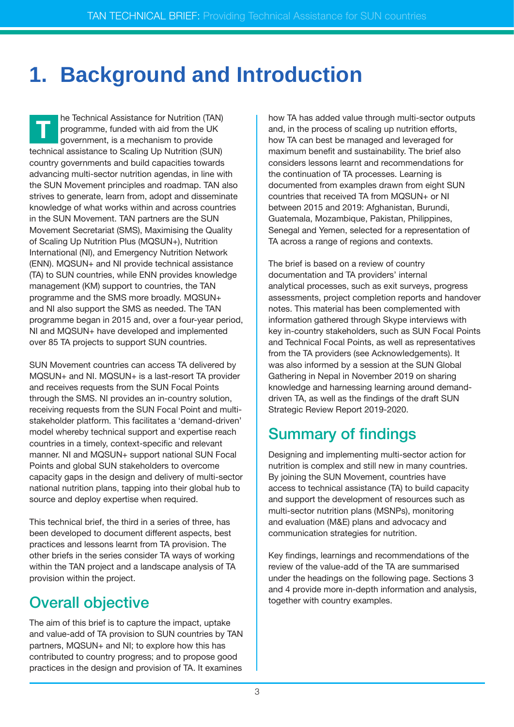## **1. Background and Introduction**

he Technical Assistance for Nutrition (TAN) programme, funded with aid from the UK government, is a mechanism to provide technical assistance to Scaling Up Nutrition (SUN) country governments and build capacities towards advancing multi-sector nutrition agendas, in line with the SUN Movement principles and roadmap. TAN also strives to generate, learn from, adopt and disseminate knowledge of what works within and across countries in the SUN Movement. TAN partners are the SUN Movement Secretariat (SMS), Maximising the Quality of Scaling Up Nutrition Plus (MQSUN+), Nutrition International (NI), and Emergency Nutrition Network (ENN). MQSUN+ and NI provide technical assistance (TA) to SUN countries, while ENN provides knowledge management (KM) support to countries, the TAN programme and the SMS more broadly. MQSUN+ and NI also support the SMS as needed. The TAN programme began in 2015 and, over a four-year period, NI and MQSUN+ have developed and implemented over 85 TA projects to support SUN countries. **T**

SUN Movement countries can access TA delivered by MQSUN+ and NI. MQSUN+ is a last-resort TA provider and receives requests from the SUN Focal Points through the SMS. NI provides an in-country solution, receiving requests from the SUN Focal Point and multistakeholder platform. This facilitates a 'demand-driven' model whereby technical support and expertise reach countries in a timely, context-specific and relevant manner. NI and MQSUN+ support national SUN Focal Points and global SUN stakeholders to overcome capacity gaps in the design and delivery of multi-sector national nutrition plans, tapping into their global hub to source and deploy expertise when required.

This technical brief, the third in a series of three, has been developed to document different aspects, best practices and lessons learnt from TA provision. The other briefs in the series consider TA ways of working within the TAN project and a landscape analysis of TA provision within the project.

### Overall objective

The aim of this brief is to capture the impact, uptake and value-add of TA provision to SUN countries by TAN partners, MQSUN+ and NI; to explore how this has contributed to country progress; and to propose good practices in the design and provision of TA. It examines

how TA has added value through multi-sector outputs and, in the process of scaling up nutrition efforts, how TA can best be managed and leveraged for maximum benefit and sustainability. The brief also considers lessons learnt and recommendations for the continuation of TA processes. Learning is documented from examples drawn from eight SUN countries that received TA from MQSUN+ or NI between 2015 and 2019: Afghanistan, Burundi, Guatemala, Mozambique, Pakistan, Philippines, Senegal and Yemen, selected for a representation of TA across a range of regions and contexts.

The brief is based on a review of country documentation and TA providers' internal analytical processes, such as exit surveys, progress assessments, project completion reports and handover notes. This material has been complemented with information gathered through Skype interviews with key in-country stakeholders, such as SUN Focal Points and Technical Focal Points, as well as representatives from the TA providers (see Acknowledgements). It was also informed by a session at the SUN Global Gathering in Nepal in November 2019 on sharing knowledge and harnessing learning around demanddriven TA, as well as the findings of the draft SUN Strategic Review Report 2019-2020.

### Summary of findings

Designing and implementing multi-sector action for nutrition is complex and still new in many countries. By joining the SUN Movement, countries have access to technical assistance (TA) to build capacity and support the development of resources such as multi-sector nutrition plans (MSNPs), monitoring and evaluation (M&E) plans and advocacy and communication strategies for nutrition.

Key findings, learnings and recommendations of the review of the value-add of the TA are summarised under the headings on the following page. Sections 3 and 4 provide more in-depth information and analysis, together with country examples.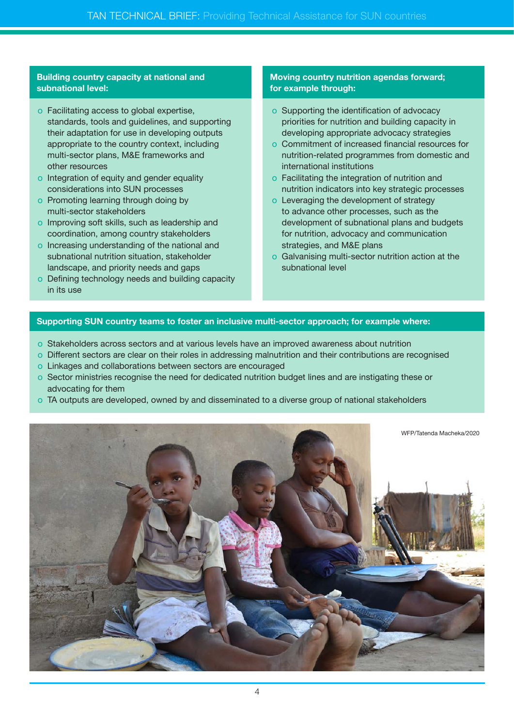#### **Building country capacity at national and subnational level:**

- o Facilitating access to global expertise, standards, tools and guidelines, and supporting their adaptation for use in developing outputs appropriate to the country context, including multi-sector plans, M&E frameworks and other resources
- o Integration of equity and gender equality considerations into SUN processes
- o Promoting learning through doing by multi-sector stakeholders
- o Improving soft skills, such as leadership and coordination, among country stakeholders
- o Increasing understanding of the national and subnational nutrition situation, stakeholder landscape, and priority needs and gaps
- o Defining technology needs and building capacity in its use

#### **Moving country nutrition agendas forward; for example through:**

- o Supporting the identification of advocacy priorities for nutrition and building capacity in developing appropriate advocacy strategies
- o Commitment of increased financial resources for nutrition-related programmes from domestic and international institutions
- o Facilitating the integration of nutrition and nutrition indicators into key strategic processes
- o Leveraging the development of strategy to advance other processes, such as the development of subnational plans and budgets for nutrition, advocacy and communication strategies, and M&E plans
- o Galvanising multi-sector nutrition action at the subnational level

#### **Supporting SUN country teams to foster an inclusive multi-sector approach; for example where:**

- o Stakeholders across sectors and at various levels have an improved awareness about nutrition
- o Different sectors are clear on their roles in addressing malnutrition and their contributions are recognised
- o Linkages and collaborations between sectors are encouraged
- o Sector ministries recognise the need for dedicated nutrition budget lines and are instigating these or advocating for them
- o TA outputs are developed, owned by and disseminated to a diverse group of national stakeholders

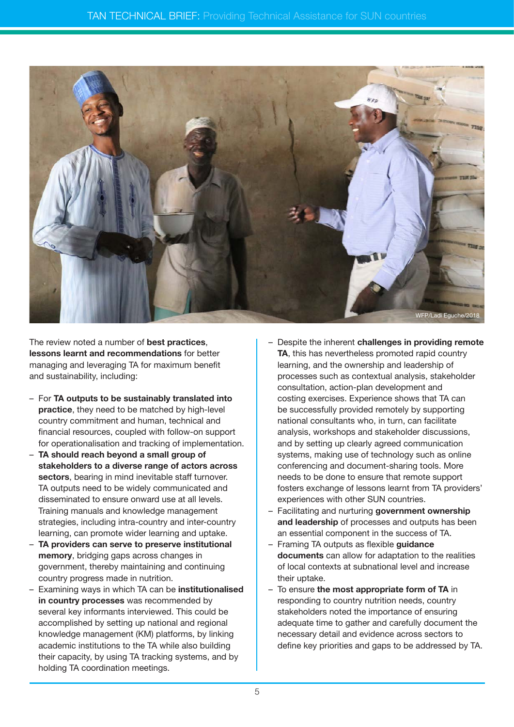

The review noted a number of **best practices**, **lessons learnt and recommendations** for better managing and leveraging TA for maximum benefit and sustainability, including:

- For **TA outputs to be sustainably translated into practice**, they need to be matched by high-level country commitment and human, technical and financial resources, coupled with follow-on support for operationalisation and tracking of implementation.
- **TA should reach beyond a small group of stakeholders to a diverse range of actors across sectors**, bearing in mind inevitable staff turnover. TA outputs need to be widely communicated and disseminated to ensure onward use at all levels. Training manuals and knowledge management strategies, including intra-country and inter-country learning, can promote wider learning and uptake.
- **TA providers can serve to preserve institutional memory**, bridging gaps across changes in government, thereby maintaining and continuing country progress made in nutrition.
- Examining ways in which TA can be **institutionalised in country processes** was recommended by several key informants interviewed. This could be accomplished by setting up national and regional knowledge management (KM) platforms, by linking academic institutions to the TA while also building their capacity, by using TA tracking systems, and by holding TA coordination meetings.
- Despite the inherent **challenges in providing remote TA**, this has nevertheless promoted rapid country learning, and the ownership and leadership of processes such as contextual analysis, stakeholder consultation, action-plan development and costing exercises. Experience shows that TA can be successfully provided remotely by supporting national consultants who, in turn, can facilitate analysis, workshops and stakeholder discussions, and by setting up clearly agreed communication systems, making use of technology such as online conferencing and document-sharing tools. More needs to be done to ensure that remote support fosters exchange of lessons learnt from TA providers' experiences with other SUN countries.
- Facilitating and nurturing **government ownership and leadership** of processes and outputs has been an essential component in the success of TA.
- Framing TA outputs as flexible **guidance documents** can allow for adaptation to the realities of local contexts at subnational level and increase their uptake.
- To ensure **the most appropriate form of TA** in responding to country nutrition needs, country stakeholders noted the importance of ensuring adequate time to gather and carefully document the necessary detail and evidence across sectors to define key priorities and gaps to be addressed by TA.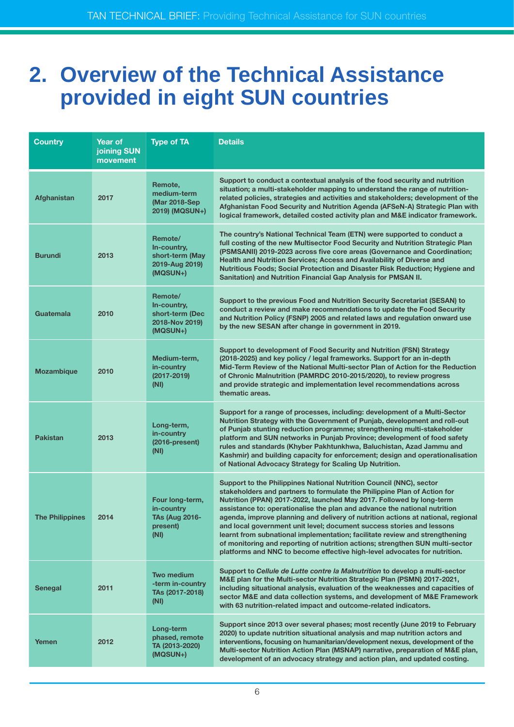### **2. Overview of the Technical Assistance provided in eight SUN countries**

| <b>Country</b>         | Year of<br>joining SUN<br>movement | <b>Type of TA</b>                                                          | <b>Details</b>                                                                                                                                                                                                                                                                                                                                                                                                                                                                                                                                                                                                                                                                                                 |  |
|------------------------|------------------------------------|----------------------------------------------------------------------------|----------------------------------------------------------------------------------------------------------------------------------------------------------------------------------------------------------------------------------------------------------------------------------------------------------------------------------------------------------------------------------------------------------------------------------------------------------------------------------------------------------------------------------------------------------------------------------------------------------------------------------------------------------------------------------------------------------------|--|
| Afghanistan            | 2017                               | Remote,<br>medium-term<br>(Mar 2018-Sep)<br>2019) (MQSUN+)                 | Support to conduct a contextual analysis of the food security and nutrition<br>situation; a multi-stakeholder mapping to understand the range of nutrition-<br>related policies, strategies and activities and stakeholders; development of the<br>Afghanistan Food Security and Nutrition Agenda (AFSeN-A) Strategic Plan with<br>logical framework, detailed costed activity plan and M&E indicator framework.                                                                                                                                                                                                                                                                                               |  |
| <b>Burundi</b>         | 2013                               | Remote/<br>In-country,<br>short-term (May<br>2019-Aug 2019)<br>(MQSUN+)    | The country's National Technical Team (ETN) were supported to conduct a<br>full costing of the new Multisector Food Security and Nutrition Strategic Plan<br>(PSMSANII) 2019-2023 across five core areas (Governance and Coordination;<br>Health and Nutrition Services; Access and Availability of Diverse and<br>Nutritious Foods; Social Protection and Disaster Risk Reduction; Hygiene and<br>Sanitation) and Nutrition Financial Gap Analysis for PMSAN II.                                                                                                                                                                                                                                              |  |
| Guatemala              | 2010                               | Remote/<br>In-country,<br>short-term (Dec<br>2018-Nov 2019)<br>(MQSUN+)    | Support to the previous Food and Nutrition Security Secretariat (SESAN) to<br>conduct a review and make recommendations to update the Food Security<br>and Nutrition Policy (FSNP) 2005 and related laws and regulation onward use<br>by the new SESAN after change in government in 2019.                                                                                                                                                                                                                                                                                                                                                                                                                     |  |
| <b>Mozambique</b>      | 2010                               | Medium-term,<br>in-country<br>$(2017 - 2019)$<br>(NI)                      | Support to development of Food Security and Nutrition (FSN) Strategy<br>(2018-2025) and key policy / legal frameworks. Support for an in-depth<br>Mid-Term Review of the National Multi-sector Plan of Action for the Reduction<br>of Chronic Malnutrition (PAMRDC 2010-2015/2020), to review progress<br>and provide strategic and implementation level recommendations across<br>thematic areas.                                                                                                                                                                                                                                                                                                             |  |
| <b>Pakistan</b>        | 2013                               | Long-term,<br>in-country<br>$(2016-present)$<br>(NI)                       | Support for a range of processes, including: development of a Multi-Sector<br>Nutrition Strategy with the Government of Punjab, development and roll-out<br>of Punjab stunting reduction programme; strengthening multi-stakeholder<br>platform and SUN networks in Punjab Province; development of food safety<br>rules and standards (Khyber Pakhtunkhwa, Baluchistan, Azad Jammu and<br>Kashmir) and building capacity for enforcement; design and operationalisation<br>of National Advocacy Strategy for Scaling Up Nutrition.                                                                                                                                                                            |  |
| <b>The Philippines</b> | 2014                               | Four long-term,<br>in-country<br><b>TAs (Aug 2016-</b><br>present)<br>(NI) | Support to the Philippines National Nutrition Council (NNC), sector<br>stakeholders and partners to formulate the Philippine Plan of Action for<br>Nutrition (PPAN) 2017-2022, launched May 2017. Followed by long-term<br>assistance to: operationalise the plan and advance the national nutrition<br>agenda, improve planning and delivery of nutrition actions at national, regional<br>and local government unit level; document success stories and lessons<br>learnt from subnational implementation; facilitate review and strengthening<br>of monitoring and reporting of nutrition actions; strengthen SUN multi-sector<br>platforms and NNC to become effective high-level advocates for nutrition. |  |
| <b>Senegal</b>         | 2011                               | <b>Two medium</b><br>-term in-country<br>TAs (2017-2018)<br>(NI)           | Support to Cellule de Lutte contre la Malnutrition to develop a multi-sector<br>M&E plan for the Multi-sector Nutrition Strategic Plan (PSMN) 2017-2021,<br>including situational analysis, evaluation of the weaknesses and capacities of<br>sector M&E and data collection systems, and development of M&E Framework<br>with 63 nutrition-related impact and outcome-related indicators.                                                                                                                                                                                                                                                                                                                     |  |
| Yemen                  | 2012                               | Long-term<br>phased, remote<br>TA (2013-2020)<br>(MQSUN+)                  | Support since 2013 over several phases; most recently (June 2019 to February<br>2020) to update nutrition situational analysis and map nutrition actors and<br>interventions, focusing on humanitarian/development nexus, development of the<br>Multi-sector Nutrition Action Plan (MSNAP) narrative, preparation of M&E plan,<br>development of an advocacy strategy and action plan, and updated costing.                                                                                                                                                                                                                                                                                                    |  |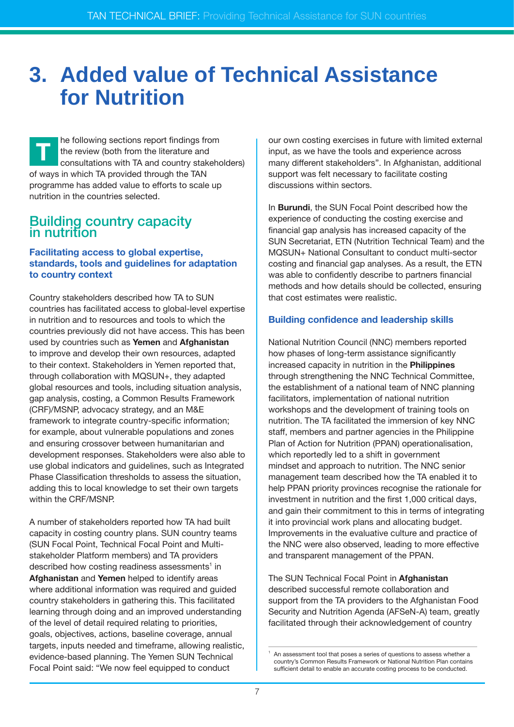### **3. Added value of Technical Assistance for Nutrition**

he following sections report findings from the review (both from the literature and consultations with TA and country stakeholders) of ways in which TA provided through the TAN programme has added value to efforts to scale up nutrition in the countries selected. **T**

#### Building country capacity in nutrition

#### **Facilitating access to global expertise, standards, tools and guidelines for adaptation to country context**

Country stakeholders described how TA to SUN countries has facilitated access to global-level expertise in nutrition and to resources and tools to which the countries previously did not have access. This has been used by countries such as **Yemen** and **Afghanistan** to improve and develop their own resources, adapted to their context. Stakeholders in Yemen reported that, through collaboration with MQSUN+, they adapted global resources and tools, including situation analysis, gap analysis, costing, a Common Results Framework (CRF)/MSNP, advocacy strategy, and an M&E framework to integrate country-specific information; for example, about vulnerable populations and zones and ensuring crossover between humanitarian and development responses. Stakeholders were also able to use global indicators and guidelines, such as Integrated Phase Classification thresholds to assess the situation, adding this to local knowledge to set their own targets within the CRF/MSNP.

A number of stakeholders reported how TA had built capacity in costing country plans. SUN country teams (SUN Focal Point, Technical Focal Point and Multistakeholder Platform members) and TA providers described how costing readiness assessments $^1$  in **Afghanistan** and **Yemen** helped to identify areas where additional information was required and guided country stakeholders in gathering this. This facilitated learning through doing and an improved understanding of the level of detail required relating to priorities, goals, objectives, actions, baseline coverage, annual targets, inputs needed and timeframe, allowing realistic, evidence-based planning. The Yemen SUN Technical Focal Point said: "We now feel equipped to conduct

our own costing exercises in future with limited external input, as we have the tools and experience across many different stakeholders". In Afghanistan, additional support was felt necessary to facilitate costing discussions within sectors.

In **Burundi**, the SUN Focal Point described how the experience of conducting the costing exercise and financial gap analysis has increased capacity of the SUN Secretariat, ETN (Nutrition Technical Team) and the MQSUN+ National Consultant to conduct multi-sector costing and financial gap analyses. As a result, the ETN was able to confidently describe to partners financial methods and how details should be collected, ensuring that cost estimates were realistic.

#### **Building confidence and leadership skills**

National Nutrition Council (NNC) members reported how phases of long-term assistance significantly increased capacity in nutrition in the **Philippines** through strengthening the NNC Technical Committee, the establishment of a national team of NNC planning facilitators, implementation of national nutrition workshops and the development of training tools on nutrition. The TA facilitated the immersion of key NNC staff, members and partner agencies in the Philippine Plan of Action for Nutrition (PPAN) operationalisation, which reportedly led to a shift in government mindset and approach to nutrition. The NNC senior management team described how the TA enabled it to help PPAN priority provinces recognise the rationale for investment in nutrition and the first 1,000 critical days, and gain their commitment to this in terms of integrating it into provincial work plans and allocating budget. Improvements in the evaluative culture and practice of the NNC were also observed, leading to more effective and transparent management of the PPAN.

The SUN Technical Focal Point in **Afghanistan** described successful remote collaboration and support from the TA providers to the Afghanistan Food Security and Nutrition Agenda (AFSeN-A) team, greatly facilitated through their acknowledgement of country

An assessment tool that poses a series of questions to assess whether a country's Common Results Framework or National Nutrition Plan contains sufficient detail to enable an accurate costing process to be conducted.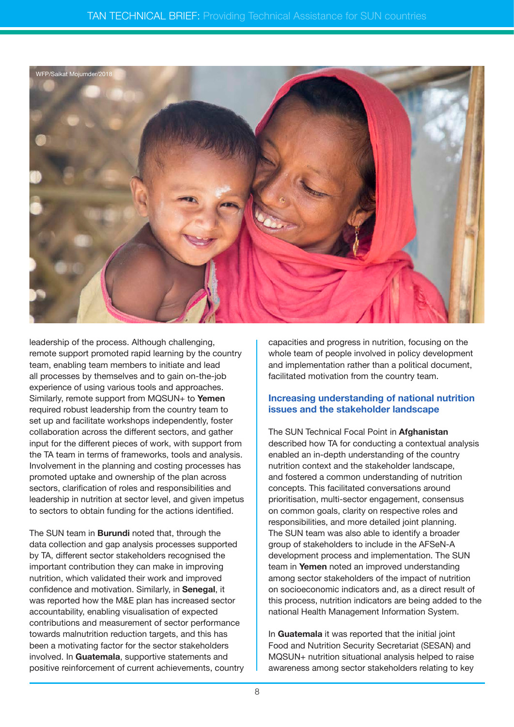

leadership of the process. Although challenging, remote support promoted rapid learning by the country team, enabling team members to initiate and lead all processes by themselves and to gain on-the-job experience of using various tools and approaches. Similarly, remote support from MQSUN+ to **Yemen** required robust leadership from the country team to set up and facilitate workshops independently, foster collaboration across the different sectors, and gather input for the different pieces of work, with support from the TA team in terms of frameworks, tools and analysis. Involvement in the planning and costing processes has promoted uptake and ownership of the plan across sectors, clarification of roles and responsibilities and leadership in nutrition at sector level, and given impetus to sectors to obtain funding for the actions identified.

The SUN team in **Burundi** noted that, through the data collection and gap analysis processes supported by TA, different sector stakeholders recognised the important contribution they can make in improving nutrition, which validated their work and improved confidence and motivation. Similarly, in **Senegal**, it was reported how the M&E plan has increased sector accountability, enabling visualisation of expected contributions and measurement of sector performance towards malnutrition reduction targets, and this has been a motivating factor for the sector stakeholders involved. In **Guatemala**, supportive statements and positive reinforcement of current achievements, country

capacities and progress in nutrition, focusing on the whole team of people involved in policy development and implementation rather than a political document, facilitated motivation from the country team.

#### **Increasing understanding of national nutrition issues and the stakeholder landscape**

The SUN Technical Focal Point in **Afghanistan** described how TA for conducting a contextual analysis enabled an in-depth understanding of the country nutrition context and the stakeholder landscape, and fostered a common understanding of nutrition concepts. This facilitated conversations around prioritisation, multi-sector engagement, consensus on common goals, clarity on respective roles and responsibilities, and more detailed joint planning. The SUN team was also able to identify a broader group of stakeholders to include in the AFSeN-A development process and implementation. The SUN team in **Yemen** noted an improved understanding among sector stakeholders of the impact of nutrition on socioeconomic indicators and, as a direct result of this process, nutrition indicators are being added to the national Health Management Information System.

In **Guatemala** it was reported that the initial joint Food and Nutrition Security Secretariat (SESAN) and MQSUN+ nutrition situational analysis helped to raise awareness among sector stakeholders relating to key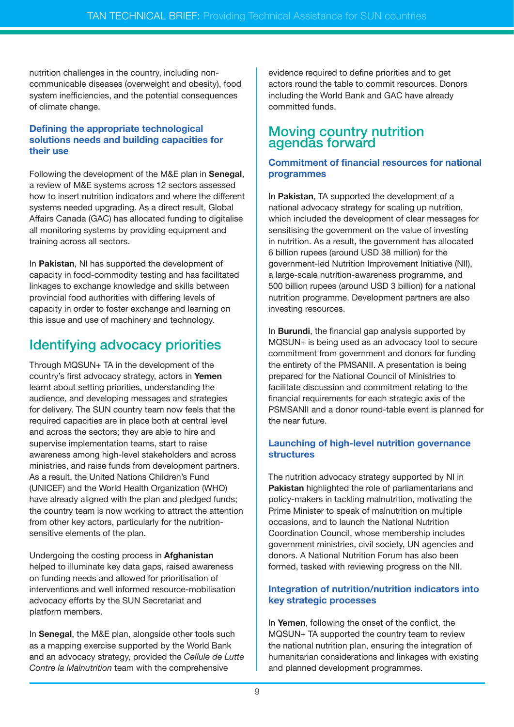nutrition challenges in the country, including noncommunicable diseases (overweight and obesity), food system inefficiencies, and the potential consequences of climate change.

#### **Defining the appropriate technological solutions needs and building capacities for their use**

Following the development of the M&E plan in **Senegal**, a review of M&E systems across 12 sectors assessed how to insert nutrition indicators and where the different systems needed upgrading. As a direct result, Global Affairs Canada (GAC) has allocated funding to digitalise all monitoring systems by providing equipment and training across all sectors.

In **Pakistan**, NI has supported the development of capacity in food-commodity testing and has facilitated linkages to exchange knowledge and skills between provincial food authorities with differing levels of capacity in order to foster exchange and learning on this issue and use of machinery and technology.

### Identifying advocacy priorities

Through MQSUN+ TA in the development of the country's first advocacy strategy, actors in **Yemen** learnt about setting priorities, understanding the audience, and developing messages and strategies for delivery. The SUN country team now feels that the required capacities are in place both at central level and across the sectors; they are able to hire and supervise implementation teams, start to raise awareness among high-level stakeholders and across ministries, and raise funds from development partners. As a result, the United Nations Children's Fund (UNICEF) and the World Health Organization (WHO) have already aligned with the plan and pledged funds: the country team is now working to attract the attention from other key actors, particularly for the nutritionsensitive elements of the plan.

Undergoing the costing process in **Afghanistan** helped to illuminate key data gaps, raised awareness on funding needs and allowed for prioritisation of interventions and well informed resource-mobilisation advocacy efforts by the SUN Secretariat and platform members.

In **Senegal**, the M&E plan, alongside other tools such as a mapping exercise supported by the World Bank and an advocacy strategy, provided the *Cellule de Lutte Contre la Malnutrition* team with the comprehensive

evidence required to define priorities and to get actors round the table to commit resources. Donors including the World Bank and GAC have already committed funds.

#### Moving country nutrition agendas forward

#### **Commitment of financial resources for national programmes**

In **Pakistan**, TA supported the development of a national advocacy strategy for scaling up nutrition, which included the development of clear messages for sensitising the government on the value of investing in nutrition. As a result, the government has allocated 6 billion rupees (around USD 38 million) for the government-led Nutrition Improvement Initiative (NII), a large-scale nutrition-awareness programme, and 500 billion rupees (around USD 3 billion) for a national nutrition programme. Development partners are also investing resources.

In **Burundi**, the financial gap analysis supported by MQSUN+ is being used as an advocacy tool to secure commitment from government and donors for funding the entirety of the PMSANII. A presentation is being prepared for the National Council of Ministries to facilitate discussion and commitment relating to the financial requirements for each strategic axis of the PSMSANII and a donor round-table event is planned for the near future.

#### **Launching of high-level nutrition governance structures**

The nutrition advocacy strategy supported by NI in **Pakistan** highlighted the role of parliamentarians and policy-makers in tackling malnutrition, motivating the Prime Minister to speak of malnutrition on multiple occasions, and to launch the National Nutrition Coordination Council, whose membership includes government ministries, civil society, UN agencies and donors. A National Nutrition Forum has also been formed, tasked with reviewing progress on the NII.

#### **Integration of nutrition/nutrition indicators into key strategic processes**

In **Yemen**, following the onset of the conflict, the MQSUN+ TA supported the country team to review the national nutrition plan, ensuring the integration of humanitarian considerations and linkages with existing and planned development programmes.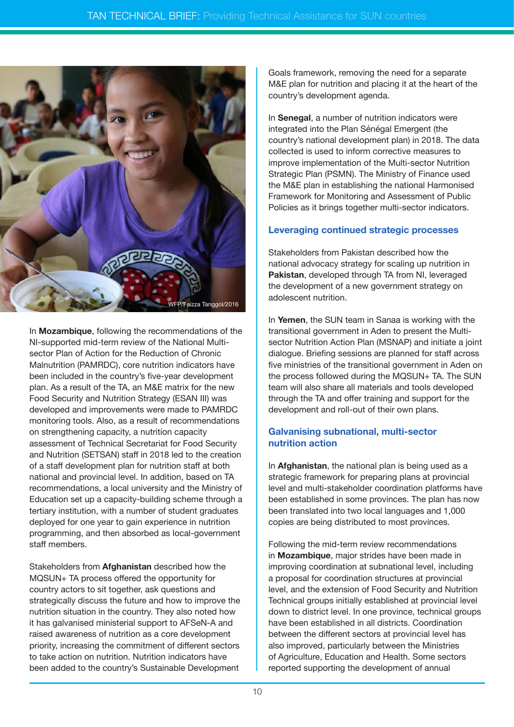

In **Mozambique**, following the recommendations of the NI-supported mid-term review of the National Multisector Plan of Action for the Reduction of Chronic Malnutrition (PAMRDC), core nutrition indicators have been included in the country's five-year development plan. As a result of the TA, an M&E matrix for the new Food Security and Nutrition Strategy (ESAN III) was developed and improvements were made to PAMRDC monitoring tools. Also, as a result of recommendations on strengthening capacity, a nutrition capacity assessment of Technical Secretariat for Food Security and Nutrition (SETSAN) staff in 2018 led to the creation of a staff development plan for nutrition staff at both national and provincial level. In addition, based on TA recommendations, a local university and the Ministry of Education set up a capacity-building scheme through a tertiary institution, with a number of student graduates deployed for one year to gain experience in nutrition programming, and then absorbed as local-government staff members.

Stakeholders from **Afghanistan** described how the MQSUN+ TA process offered the opportunity for country actors to sit together, ask questions and strategically discuss the future and how to improve the nutrition situation in the country. They also noted how it has galvanised ministerial support to AFSeN-A and raised awareness of nutrition as a core development priority, increasing the commitment of different sectors to take action on nutrition. Nutrition indicators have been added to the country's Sustainable Development

Goals framework, removing the need for a separate M&E plan for nutrition and placing it at the heart of the country's development agenda.

In **Senegal**, a number of nutrition indicators were integrated into the Plan Sénégal Emergent (the country's national development plan) in 2018. The data collected is used to inform corrective measures to improve implementation of the Multi-sector Nutrition Strategic Plan (PSMN). The Ministry of Finance used the M&E plan in establishing the national Harmonised Framework for Monitoring and Assessment of Public Policies as it brings together multi-sector indicators.

#### **Leveraging continued strategic processes**

Stakeholders from Pakistan described how the national advocacy strategy for scaling up nutrition in **Pakistan**, developed through TA from NI, leveraged the development of a new government strategy on adolescent nutrition.

In **Yemen**, the SUN team in Sanaa is working with the transitional government in Aden to present the Multisector Nutrition Action Plan (MSNAP) and initiate a joint dialogue. Briefing sessions are planned for staff across five ministries of the transitional government in Aden on the process followed during the MQSUN+ TA. The SUN team will also share all materials and tools developed through the TA and offer training and support for the development and roll-out of their own plans.

#### **Galvanising subnational, multi-sector nutrition action**

In **Afghanistan**, the national plan is being used as a strategic framework for preparing plans at provincial level and multi-stakeholder coordination platforms have been established in some provinces. The plan has now been translated into two local languages and 1,000 copies are being distributed to most provinces.

Following the mid-term review recommendations in **Mozambique**, major strides have been made in improving coordination at subnational level, including a proposal for coordination structures at provincial level, and the extension of Food Security and Nutrition Technical groups initially established at provincial level down to district level. In one province, technical groups have been established in all districts. Coordination between the different sectors at provincial level has also improved, particularly between the Ministries of Agriculture, Education and Health. Some sectors reported supporting the development of annual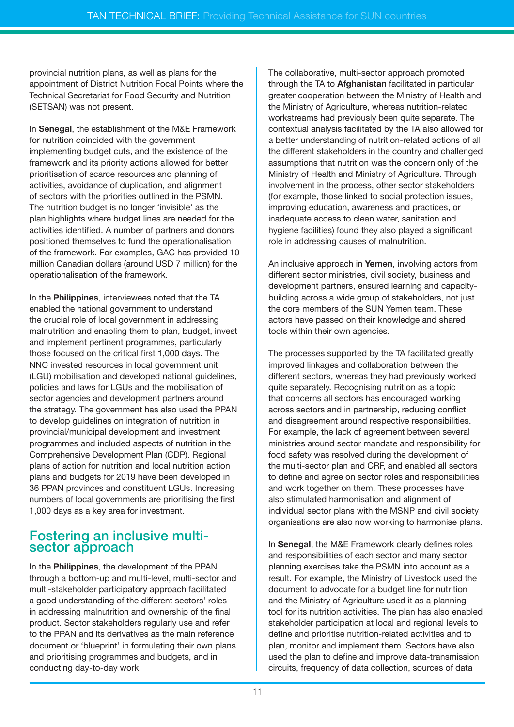provincial nutrition plans, as well as plans for the appointment of District Nutrition Focal Points where the Technical Secretariat for Food Security and Nutrition (SETSAN) was not present.

In **Senegal**, the establishment of the M&E Framework for nutrition coincided with the government implementing budget cuts, and the existence of the framework and its priority actions allowed for better prioritisation of scarce resources and planning of activities, avoidance of duplication, and alignment of sectors with the priorities outlined in the PSMN. The nutrition budget is no longer 'invisible' as the plan highlights where budget lines are needed for the activities identified. A number of partners and donors positioned themselves to fund the operationalisation of the framework. For examples, GAC has provided 10 million Canadian dollars (around USD 7 million) for the operationalisation of the framework.

In the **Philippines**, interviewees noted that the TA enabled the national government to understand the crucial role of local government in addressing malnutrition and enabling them to plan, budget, invest and implement pertinent programmes, particularly those focused on the critical first 1,000 days. The NNC invested resources in local government unit (LGU) mobilisation and developed national guidelines, policies and laws for LGUs and the mobilisation of sector agencies and development partners around the strategy. The government has also used the PPAN to develop guidelines on integration of nutrition in provincial/municipal development and investment programmes and included aspects of nutrition in the Comprehensive Development Plan (CDP). Regional plans of action for nutrition and local nutrition action plans and budgets for 2019 have been developed in 36 PPAN provinces and constituent LGUs. Increasing numbers of local governments are prioritising the first 1,000 days as a key area for investment.

#### Fostering an inclusive multisector approach

In the **Philippines**, the development of the PPAN through a bottom-up and multi-level, multi-sector and multi-stakeholder participatory approach facilitated a good understanding of the different sectors' roles in addressing malnutrition and ownership of the final product. Sector stakeholders regularly use and refer to the PPAN and its derivatives as the main reference document or 'blueprint' in formulating their own plans and prioritising programmes and budgets, and in conducting day-to-day work.

The collaborative, multi-sector approach promoted through the TA to **Afghanistan** facilitated in particular greater cooperation between the Ministry of Health and the Ministry of Agriculture, whereas nutrition-related workstreams had previously been quite separate. The contextual analysis facilitated by the TA also allowed for a better understanding of nutrition-related actions of all the different stakeholders in the country and challenged assumptions that nutrition was the concern only of the Ministry of Health and Ministry of Agriculture. Through involvement in the process, other sector stakeholders (for example, those linked to social protection issues, improving education, awareness and practices, or inadequate access to clean water, sanitation and hygiene facilities) found they also played a significant role in addressing causes of malnutrition.

An inclusive approach in **Yemen**, involving actors from different sector ministries, civil society, business and development partners, ensured learning and capacitybuilding across a wide group of stakeholders, not just the core members of the SUN Yemen team. These actors have passed on their knowledge and shared tools within their own agencies.

The processes supported by the TA facilitated greatly improved linkages and collaboration between the different sectors, whereas they had previously worked quite separately. Recognising nutrition as a topic that concerns all sectors has encouraged working across sectors and in partnership, reducing conflict and disagreement around respective responsibilities. For example, the lack of agreement between several ministries around sector mandate and responsibility for food safety was resolved during the development of the multi-sector plan and CRF, and enabled all sectors to define and agree on sector roles and responsibilities and work together on them. These processes have also stimulated harmonisation and alignment of individual sector plans with the MSNP and civil society organisations are also now working to harmonise plans.

In **Senegal**, the M&E Framework clearly defines roles and responsibilities of each sector and many sector planning exercises take the PSMN into account as a result. For example, the Ministry of Livestock used the document to advocate for a budget line for nutrition and the Ministry of Agriculture used it as a planning tool for its nutrition activities. The plan has also enabled stakeholder participation at local and regional levels to define and prioritise nutrition-related activities and to plan, monitor and implement them. Sectors have also used the plan to define and improve data-transmission circuits, frequency of data collection, sources of data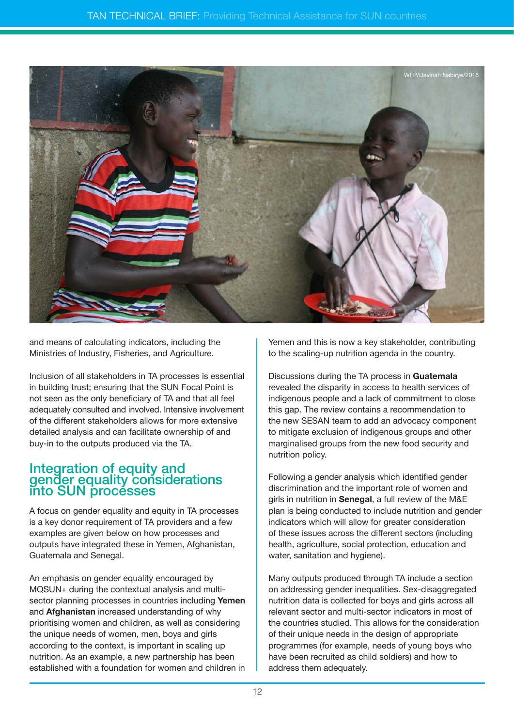

and means of calculating indicators, including the Ministries of Industry, Fisheries, and Agriculture.

Inclusion of all stakeholders in TA processes is essential in building trust; ensuring that the SUN Focal Point is not seen as the only beneficiary of TA and that all feel adequately consulted and involved. Intensive involvement of the different stakeholders allows for more extensive detailed analysis and can facilitate ownership of and buy-in to the outputs produced via the TA.

#### Integration of equity and gender equality considerations into SUN processes

A focus on gender equality and equity in TA processes is a key donor requirement of TA providers and a few examples are given below on how processes and outputs have integrated these in Yemen, Afghanistan, Guatemala and Senegal.

An emphasis on gender equality encouraged by MQSUN+ during the contextual analysis and multisector planning processes in countries including **Yemen** and **Afghanistan** increased understanding of why prioritising women and children, as well as considering the unique needs of women, men, boys and girls according to the context, is important in scaling up nutrition. As an example, a new partnership has been established with a foundation for women and children in

Yemen and this is now a key stakeholder, contributing to the scaling-up nutrition agenda in the country.

Discussions during the TA process in **Guatemala** revealed the disparity in access to health services of indigenous people and a lack of commitment to close this gap. The review contains a recommendation to the new SESAN team to add an advocacy component to mitigate exclusion of indigenous groups and other marginalised groups from the new food security and nutrition policy.

Following a gender analysis which identified gender discrimination and the important role of women and girls in nutrition in **Senegal**, a full review of the M&E plan is being conducted to include nutrition and gender indicators which will allow for greater consideration of these issues across the different sectors (including health, agriculture, social protection, education and water, sanitation and hygiene).

Many outputs produced through TA include a section on addressing gender inequalities. Sex-disaggregated nutrition data is collected for boys and girls across all relevant sector and multi-sector indicators in most of the countries studied. This allows for the consideration of their unique needs in the design of appropriate programmes (for example, needs of young boys who have been recruited as child soldiers) and how to address them adequately.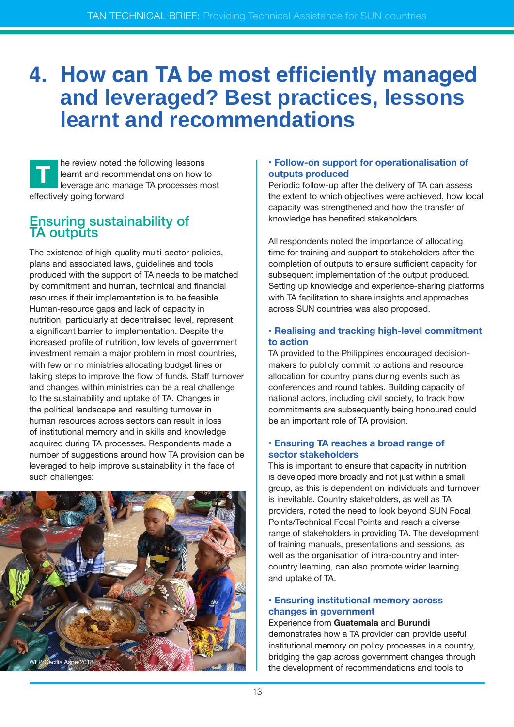### **4. How can TA be most efficiently managed and leveraged? Best practices, lessons learnt and recommendations**

he review noted the following lessons learnt and recommendations on how to leverage and manage TA processes most effectively going forward: **T**

#### Ensuring sustainability of **TA outputs**

The existence of high-quality multi-sector policies, plans and associated laws, guidelines and tools produced with the support of TA needs to be matched by commitment and human, technical and financial resources if their implementation is to be feasible. Human-resource gaps and lack of capacity in nutrition, particularly at decentralised level, represent a significant barrier to implementation. Despite the increased profile of nutrition, low levels of government investment remain a major problem in most countries, with few or no ministries allocating budget lines or taking steps to improve the flow of funds. Staff turnover and changes within ministries can be a real challenge to the sustainability and uptake of TA. Changes in the political landscape and resulting turnover in human resources across sectors can result in loss of institutional memory and in skills and knowledge acquired during TA processes. Respondents made a number of suggestions around how TA provision can be leveraged to help improve sustainability in the face of such challenges:



#### **• Follow-on support for operationalisation of outputs produced**

Periodic follow-up after the delivery of TA can assess the extent to which objectives were achieved, how local capacity was strengthened and how the transfer of knowledge has benefited stakeholders.

All respondents noted the importance of allocating time for training and support to stakeholders after the completion of outputs to ensure sufficient capacity for subsequent implementation of the output produced. Setting up knowledge and experience-sharing platforms with TA facilitation to share insights and approaches across SUN countries was also proposed.

#### **• Realising and tracking high-level commitment to action**

TA provided to the Philippines encouraged decisionmakers to publicly commit to actions and resource allocation for country plans during events such as conferences and round tables. Building capacity of national actors, including civil society, to track how commitments are subsequently being honoured could be an important role of TA provision.

#### **• Ensuring TA reaches a broad range of sector stakeholders**

This is important to ensure that capacity in nutrition is developed more broadly and not just within a small group, as this is dependent on individuals and turnover is inevitable. Country stakeholders, as well as TA providers, noted the need to look beyond SUN Focal Points/Technical Focal Points and reach a diverse range of stakeholders in providing TA. The development of training manuals, presentations and sessions, as well as the organisation of intra-country and intercountry learning, can also promote wider learning and uptake of TA.

#### **• Ensuring institutional memory across changes in government**

Experience from **Guatemala** and **Burundi** demonstrates how a TA provider can provide useful institutional memory on policy processes in a country, bridging the gap across government changes through the development of recommendations and tools to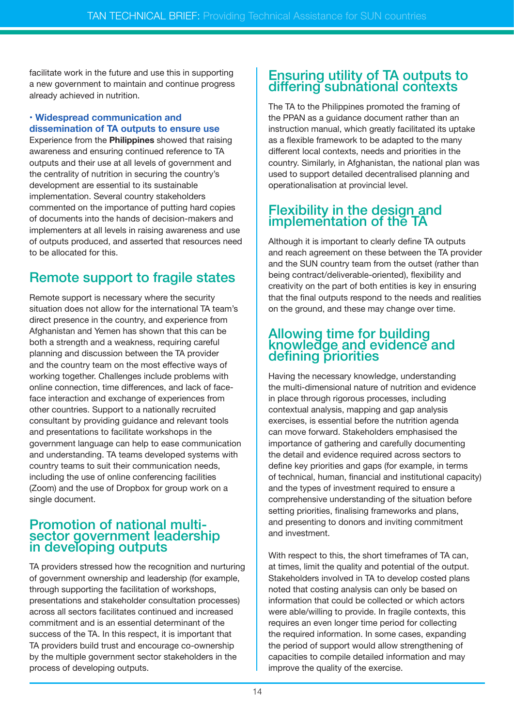facilitate work in the future and use this in supporting a new government to maintain and continue progress already achieved in nutrition.

#### **• Widespread communication and dissemination of TA outputs to ensure use**

Experience from the **Philippines** showed that raising awareness and ensuring continued reference to TA outputs and their use at all levels of government and the centrality of nutrition in securing the country's development are essential to its sustainable implementation. Several country stakeholders commented on the importance of putting hard copies of documents into the hands of decision-makers and implementers at all levels in raising awareness and use of outputs produced, and asserted that resources need to be allocated for this.

### Remote support to fragile states

Remote support is necessary where the security situation does not allow for the international TA team's direct presence in the country, and experience from Afghanistan and Yemen has shown that this can be both a strength and a weakness, requiring careful planning and discussion between the TA provider and the country team on the most effective ways of working together. Challenges include problems with online connection, time differences, and lack of faceface interaction and exchange of experiences from other countries. Support to a nationally recruited consultant by providing guidance and relevant tools and presentations to facilitate workshops in the government language can help to ease communication and understanding. TA teams developed systems with country teams to suit their communication needs, including the use of online conferencing facilities (Zoom) and the use of Dropbox for group work on a single document.

#### Promotion of national multisector government leadership in developing outputs

TA providers stressed how the recognition and nurturing of government ownership and leadership (for example, through supporting the facilitation of workshops, presentations and stakeholder consultation processes) across all sectors facilitates continued and increased commitment and is an essential determinant of the success of the TA. In this respect, it is important that TA providers build trust and encourage co-ownership by the multiple government sector stakeholders in the process of developing outputs.

#### Ensuring utility of TA outputs to differing subnational contexts

The TA to the Philippines promoted the framing of the PPAN as a guidance document rather than an instruction manual, which greatly facilitated its uptake as a flexible framework to be adapted to the many different local contexts, needs and priorities in the country. Similarly, in Afghanistan, the national plan was used to support detailed decentralised planning and operationalisation at provincial level.

#### Flexibility in the design and implementation of the TA

Although it is important to clearly define TA outputs and reach agreement on these between the TA provider and the SUN country team from the outset (rather than being contract/deliverable-oriented), flexibility and creativity on the part of both entities is key in ensuring that the final outputs respond to the needs and realities on the ground, and these may change over time.

#### Allowing time for building knowledge and evidence and defining priorities

Having the necessary knowledge, understanding the multi-dimensional nature of nutrition and evidence in place through rigorous processes, including contextual analysis, mapping and gap analysis exercises, is essential before the nutrition agenda can move forward. Stakeholders emphasised the importance of gathering and carefully documenting the detail and evidence required across sectors to define key priorities and gaps (for example, in terms of technical, human, financial and institutional capacity) and the types of investment required to ensure a comprehensive understanding of the situation before setting priorities, finalising frameworks and plans, and presenting to donors and inviting commitment and investment.

With respect to this, the short timeframes of TA can, at times, limit the quality and potential of the output. Stakeholders involved in TA to develop costed plans noted that costing analysis can only be based on information that could be collected or which actors were able/willing to provide. In fragile contexts, this requires an even longer time period for collecting the required information. In some cases, expanding the period of support would allow strengthening of capacities to compile detailed information and may improve the quality of the exercise.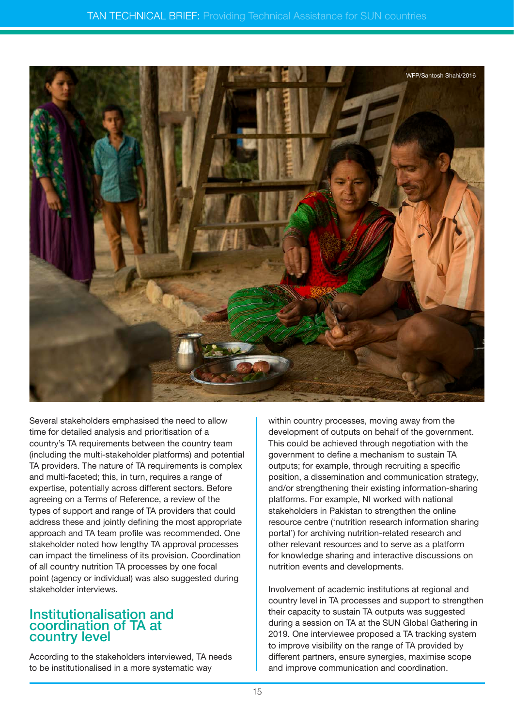

Several stakeholders emphasised the need to allow time for detailed analysis and prioritisation of a country's TA requirements between the country team (including the multi-stakeholder platforms) and potential TA providers. The nature of TA requirements is complex and multi-faceted; this, in turn, requires a range of expertise, potentially across different sectors. Before agreeing on a Terms of Reference, a review of the types of support and range of TA providers that could address these and jointly defining the most appropriate approach and TA team profile was recommended. One stakeholder noted how lengthy TA approval processes can impact the timeliness of its provision. Coordination of all country nutrition TA processes by one focal point (agency or individual) was also suggested during stakeholder interviews.

#### Institutionalisation and coordination of TA at country level

According to the stakeholders interviewed, TA needs to be institutionalised in a more systematic way

within country processes, moving away from the development of outputs on behalf of the government. This could be achieved through negotiation with the government to define a mechanism to sustain TA outputs; for example, through recruiting a specific position, a dissemination and communication strategy, and/or strengthening their existing information-sharing platforms. For example, NI worked with national stakeholders in Pakistan to strengthen the online resource centre ('nutrition research information sharing portal') for archiving nutrition-related research and other relevant resources and to serve as a platform for knowledge sharing and interactive discussions on nutrition events and developments.

Involvement of academic institutions at regional and country level in TA processes and support to strengthen their capacity to sustain TA outputs was suggested during a session on TA at the SUN Global Gathering in 2019. One interviewee proposed a TA tracking system to improve visibility on the range of TA provided by different partners, ensure synergies, maximise scope and improve communication and coordination.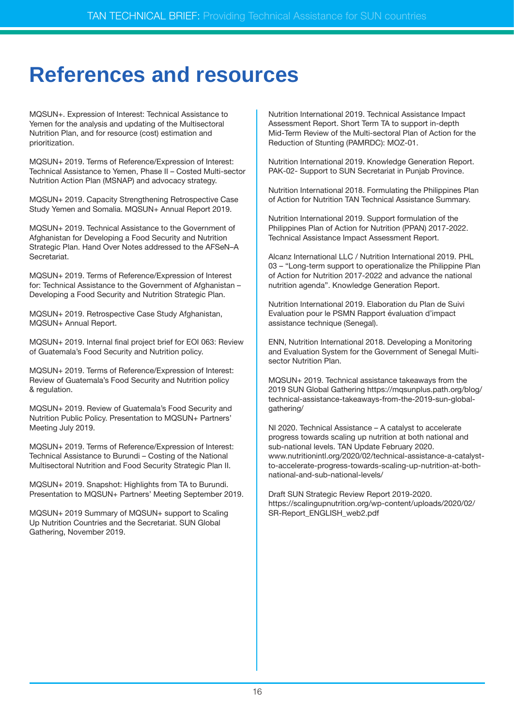### **References and resources**

MQSUN+. Expression of Interest: Technical Assistance to Yemen for the analysis and updating of the Multisectoral Nutrition Plan, and for resource (cost) estimation and prioritization.

MQSUN+ 2019. Terms of Reference/Expression of Interest: Technical Assistance to Yemen, Phase II – Costed Multi-sector Nutrition Action Plan (MSNAP) and advocacy strategy.

MQSUN+ 2019. Capacity Strengthening Retrospective Case Study Yemen and Somalia. MQSUN+ Annual Report 2019.

MQSUN+ 2019. Technical Assistance to the Government of Afghanistan for Developing a Food Security and Nutrition Strategic Plan. Hand Over Notes addressed to the AFSeN–A Secretariat.

MQSUN+ 2019. Terms of Reference/Expression of Interest for: Technical Assistance to the Government of Afghanistan – Developing a Food Security and Nutrition Strategic Plan.

MQSUN+ 2019. Retrospective Case Study Afghanistan, MQSUN+ Annual Report.

MQSUN+ 2019. Internal final project brief for EOI 063: Review of Guatemala's Food Security and Nutrition policy.

MQSUN+ 2019. Terms of Reference/Expression of Interest: Review of Guatemala's Food Security and Nutrition policy & regulation.

MQSUN+ 2019. Review of Guatemala's Food Security and Nutrition Public Policy. Presentation to MQSUN+ Partners' Meeting July 2019.

MQSUN+ 2019. Terms of Reference/Expression of Interest: Technical Assistance to Burundi – Costing of the National Multisectoral Nutrition and Food Security Strategic Plan II.

MQSUN+ 2019. Snapshot: Highlights from TA to Burundi. Presentation to MQSUN+ Partners' Meeting September 2019.

MQSUN+ 2019 Summary of MQSUN+ support to Scaling Up Nutrition Countries and the Secretariat. SUN Global Gathering, November 2019.

Nutrition International 2019. Technical Assistance Impact Assessment Report. Short Term TA to support in-depth Mid-Term Review of the Multi-sectoral Plan of Action for the Reduction of Stunting (PAMRDC): MOZ-01.

Nutrition International 2019. Knowledge Generation Report. PAK-02- Support to SUN Secretariat in Punjab Province.

Nutrition International 2018. Formulating the Philippines Plan of Action for Nutrition TAN Technical Assistance Summary.

Nutrition International 2019. Support formulation of the Philippines Plan of Action for Nutrition (PPAN) 2017-2022. Technical Assistance Impact Assessment Report.

Alcanz International LLC / Nutrition International 2019. PHL 03 – "Long-term support to operationalize the Philippine Plan of Action for Nutrition 2017-2022 and advance the national nutrition agenda". Knowledge Generation Report.

Nutrition International 2019. Elaboration du Plan de Suivi Evaluation pour le PSMN Rapport évaluation d'impact assistance technique (Senegal).

ENN, Nutrition International 2018. Developing a Monitoring and Evaluation System for the Government of Senegal Multisector Nutrition Plan.

MQSUN+ 2019. Technical assistance takeaways from the 2019 SUN Global Gathering [https://mqsunplus.path.org/blog/](https://mqsunplus.path.org/blog/technical-assistance-takeaways-from-the-2019-sun-global-gathering/) [technical-assistance-takeaways-from-the-2019-sun-global](https://mqsunplus.path.org/blog/technical-assistance-takeaways-from-the-2019-sun-global-gathering/)[gathering/](https://mqsunplus.path.org/blog/technical-assistance-takeaways-from-the-2019-sun-global-gathering/)

NI 2020. Technical Assistance – A catalyst to accelerate progress towards scaling up nutrition at both national and sub-national levels. TAN Update February 2020. [www.nutritionintl.org/2020/02/technical-assistance-a-catalyst](http://www.nutritionintl.org/2020/02/technical-assistance-a-catalyst-to-accelerate-progress-towards-scaling)[to-accelerate-progress-towards-scaling-up-nutrition-at-both](http://www.nutritionintl.org/2020/02/technical-assistance-a-catalyst-to-accelerate-progress-towards-scaling)[national-and-sub-national-levels/](http://www.nutritionintl.org/2020/02/technical-assistance-a-catalyst-to-accelerate-progress-towards-scaling)

Draft SUN Strategic Review Report 2019-2020. [https://scalingupnutrition.org/wp-content/uploads/2020/02/](https://scalingupnutrition.org/wp-content/uploads/2020/02/SR-Report_ENGLISH_web2.pdf) [SR-Report\\_ENGLISH\\_web2.pdf](https://scalingupnutrition.org/wp-content/uploads/2020/02/SR-Report_ENGLISH_web2.pdf)